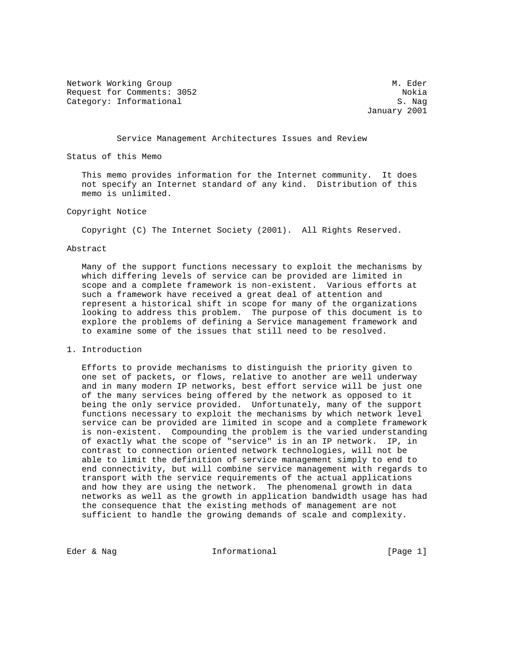Network Working Group and Mathematic Methods and Mathematic Methods and Mathematic Methods and Mathematic Methods and Mathematic Methods and Mathematic Methods and Mathematic Methods and Mathematic Methods and Mathematic M Request for Comments: 3052 Nokia Category: Informational S. Nag

January 2001

Service Management Architectures Issues and Review

Status of this Memo

 This memo provides information for the Internet community. It does not specify an Internet standard of any kind. Distribution of this memo is unlimited.

## Copyright Notice

Copyright (C) The Internet Society (2001). All Rights Reserved.

#### Abstract

 Many of the support functions necessary to exploit the mechanisms by which differing levels of service can be provided are limited in scope and a complete framework is non-existent. Various efforts at such a framework have received a great deal of attention and represent a historical shift in scope for many of the organizations looking to address this problem. The purpose of this document is to explore the problems of defining a Service management framework and to examine some of the issues that still need to be resolved.

1. Introduction

 Efforts to provide mechanisms to distinguish the priority given to one set of packets, or flows, relative to another are well underway and in many modern IP networks, best effort service will be just one of the many services being offered by the network as opposed to it being the only service provided. Unfortunately, many of the support functions necessary to exploit the mechanisms by which network level service can be provided are limited in scope and a complete framework is non-existent. Compounding the problem is the varied understanding of exactly what the scope of "service" is in an IP network. IP, in contrast to connection oriented network technologies, will not be able to limit the definition of service management simply to end to end connectivity, but will combine service management with regards to transport with the service requirements of the actual applications and how they are using the network. The phenomenal growth in data networks as well as the growth in application bandwidth usage has had the consequence that the existing methods of management are not sufficient to handle the growing demands of scale and complexity.

Eder & Nag  $I_n$  Informational  $[Page 1]$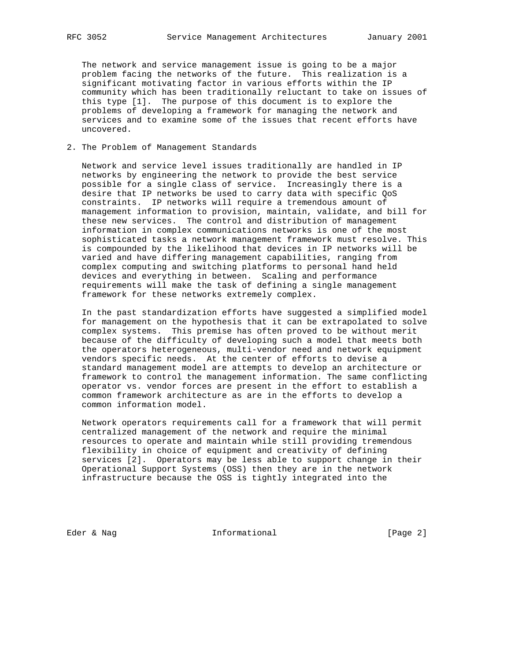The network and service management issue is going to be a major problem facing the networks of the future. This realization is a significant motivating factor in various efforts within the IP community which has been traditionally reluctant to take on issues of this type [1]. The purpose of this document is to explore the problems of developing a framework for managing the network and services and to examine some of the issues that recent efforts have uncovered.

### 2. The Problem of Management Standards

 Network and service level issues traditionally are handled in IP networks by engineering the network to provide the best service possible for a single class of service. Increasingly there is a desire that IP networks be used to carry data with specific QoS constraints. IP networks will require a tremendous amount of management information to provision, maintain, validate, and bill for these new services. The control and distribution of management information in complex communications networks is one of the most sophisticated tasks a network management framework must resolve. This is compounded by the likelihood that devices in IP networks will be varied and have differing management capabilities, ranging from complex computing and switching platforms to personal hand held devices and everything in between. Scaling and performance requirements will make the task of defining a single management framework for these networks extremely complex.

 In the past standardization efforts have suggested a simplified model for management on the hypothesis that it can be extrapolated to solve complex systems. This premise has often proved to be without merit because of the difficulty of developing such a model that meets both the operators heterogeneous, multi-vendor need and network equipment vendors specific needs. At the center of efforts to devise a standard management model are attempts to develop an architecture or framework to control the management information. The same conflicting operator vs. vendor forces are present in the effort to establish a common framework architecture as are in the efforts to develop a common information model.

 Network operators requirements call for a framework that will permit centralized management of the network and require the minimal resources to operate and maintain while still providing tremendous flexibility in choice of equipment and creativity of defining services [2]. Operators may be less able to support change in their Operational Support Systems (OSS) then they are in the network infrastructure because the OSS is tightly integrated into the

Eder & Nag  $I_n$  Informational  $[Page 2]$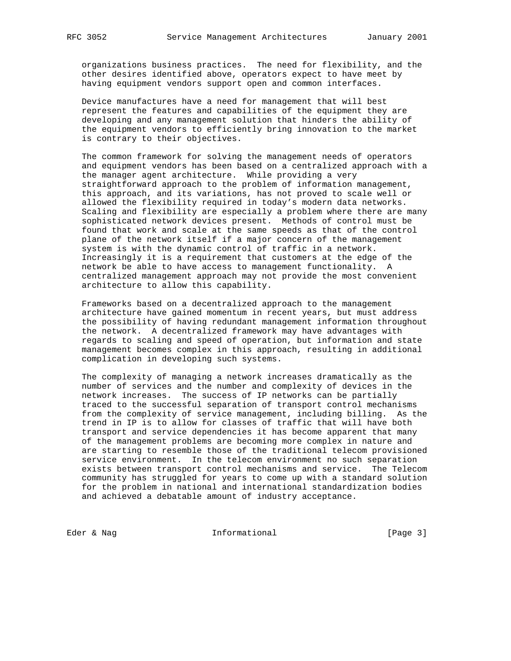organizations business practices. The need for flexibility, and the other desires identified above, operators expect to have meet by having equipment vendors support open and common interfaces.

 Device manufactures have a need for management that will best represent the features and capabilities of the equipment they are developing and any management solution that hinders the ability of the equipment vendors to efficiently bring innovation to the market is contrary to their objectives.

 The common framework for solving the management needs of operators and equipment vendors has been based on a centralized approach with a the manager agent architecture. While providing a very straightforward approach to the problem of information management, this approach, and its variations, has not proved to scale well or allowed the flexibility required in today's modern data networks. Scaling and flexibility are especially a problem where there are many sophisticated network devices present. Methods of control must be found that work and scale at the same speeds as that of the control plane of the network itself if a major concern of the management system is with the dynamic control of traffic in a network. Increasingly it is a requirement that customers at the edge of the network be able to have access to management functionality. A centralized management approach may not provide the most convenient architecture to allow this capability.

 Frameworks based on a decentralized approach to the management architecture have gained momentum in recent years, but must address the possibility of having redundant management information throughout the network. A decentralized framework may have advantages with regards to scaling and speed of operation, but information and state management becomes complex in this approach, resulting in additional complication in developing such systems.

 The complexity of managing a network increases dramatically as the number of services and the number and complexity of devices in the network increases. The success of IP networks can be partially traced to the successful separation of transport control mechanisms from the complexity of service management, including billing. As the trend in IP is to allow for classes of traffic that will have both transport and service dependencies it has become apparent that many of the management problems are becoming more complex in nature and are starting to resemble those of the traditional telecom provisioned service environment. In the telecom environment no such separation exists between transport control mechanisms and service. The Telecom community has struggled for years to come up with a standard solution for the problem in national and international standardization bodies and achieved a debatable amount of industry acceptance.

Eder & Nag  $I_n$  Informational  $[Page 3]$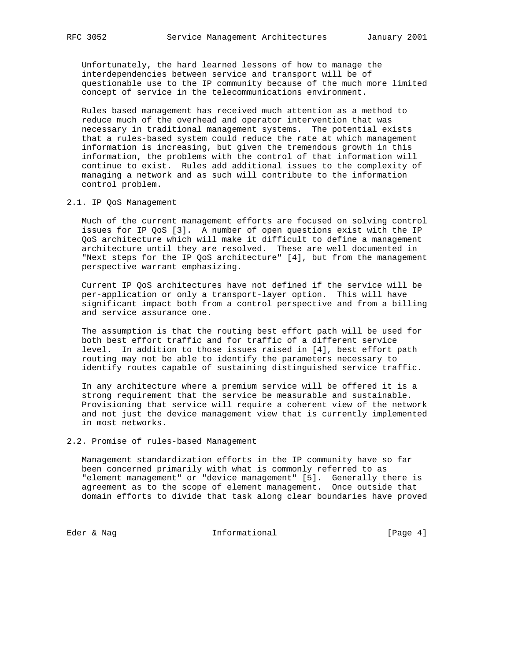Unfortunately, the hard learned lessons of how to manage the interdependencies between service and transport will be of questionable use to the IP community because of the much more limited concept of service in the telecommunications environment.

 Rules based management has received much attention as a method to reduce much of the overhead and operator intervention that was necessary in traditional management systems. The potential exists that a rules-based system could reduce the rate at which management information is increasing, but given the tremendous growth in this information, the problems with the control of that information will continue to exist. Rules add additional issues to the complexity of managing a network and as such will contribute to the information control problem.

#### 2.1. IP QoS Management

 Much of the current management efforts are focused on solving control issues for IP QoS [3]. A number of open questions exist with the IP QoS architecture which will make it difficult to define a management architecture until they are resolved. These are well documented in "Next steps for the IP QoS architecture" [4], but from the management perspective warrant emphasizing.

 Current IP QoS architectures have not defined if the service will be per-application or only a transport-layer option. This will have significant impact both from a control perspective and from a billing and service assurance one.

 The assumption is that the routing best effort path will be used for both best effort traffic and for traffic of a different service level. In addition to those issues raised in [4], best effort path routing may not be able to identify the parameters necessary to identify routes capable of sustaining distinguished service traffic.

 In any architecture where a premium service will be offered it is a strong requirement that the service be measurable and sustainable. Provisioning that service will require a coherent view of the network and not just the device management view that is currently implemented in most networks.

2.2. Promise of rules-based Management

 Management standardization efforts in the IP community have so far been concerned primarily with what is commonly referred to as "element management" or "device management" [5]. Generally there is agreement as to the scope of element management. Once outside that domain efforts to divide that task along clear boundaries have proved

Eder & Nag 10 Informational 100 [Page 4]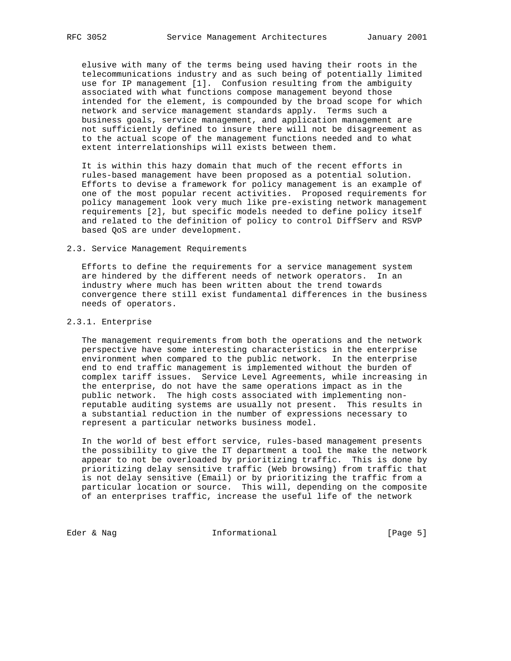elusive with many of the terms being used having their roots in the telecommunications industry and as such being of potentially limited use for IP management [1]. Confusion resulting from the ambiguity associated with what functions compose management beyond those intended for the element, is compounded by the broad scope for which network and service management standards apply. Terms such a business goals, service management, and application management are not sufficiently defined to insure there will not be disagreement as to the actual scope of the management functions needed and to what extent interrelationships will exists between them.

 It is within this hazy domain that much of the recent efforts in rules-based management have been proposed as a potential solution. Efforts to devise a framework for policy management is an example of one of the most popular recent activities. Proposed requirements for policy management look very much like pre-existing network management requirements [2], but specific models needed to define policy itself and related to the definition of policy to control DiffServ and RSVP based QoS are under development.

#### 2.3. Service Management Requirements

 Efforts to define the requirements for a service management system are hindered by the different needs of network operators. In an industry where much has been written about the trend towards convergence there still exist fundamental differences in the business needs of operators.

## 2.3.1. Enterprise

 The management requirements from both the operations and the network perspective have some interesting characteristics in the enterprise environment when compared to the public network. In the enterprise end to end traffic management is implemented without the burden of complex tariff issues. Service Level Agreements, while increasing in the enterprise, do not have the same operations impact as in the public network. The high costs associated with implementing non reputable auditing systems are usually not present. This results in a substantial reduction in the number of expressions necessary to represent a particular networks business model.

 In the world of best effort service, rules-based management presents the possibility to give the IT department a tool the make the network appear to not be overloaded by prioritizing traffic. This is done by prioritizing delay sensitive traffic (Web browsing) from traffic that is not delay sensitive (Email) or by prioritizing the traffic from a particular location or source. This will, depending on the composite of an enterprises traffic, increase the useful life of the network

Eder & Nag 10 Informational 1.1 [Page 5]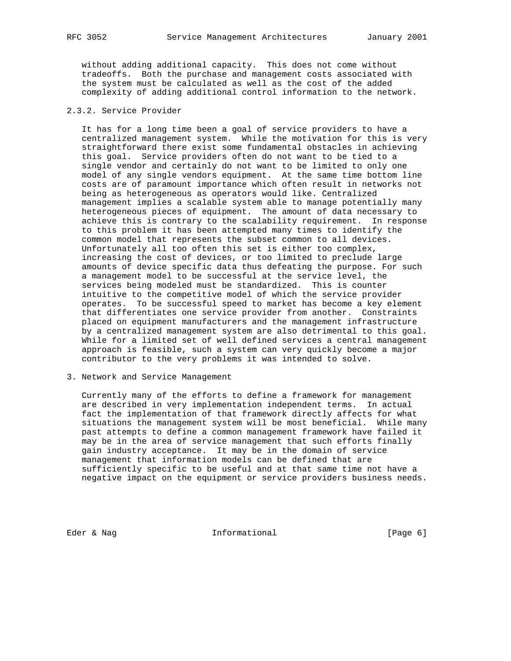without adding additional capacity. This does not come without tradeoffs. Both the purchase and management costs associated with the system must be calculated as well as the cost of the added complexity of adding additional control information to the network.

# 2.3.2. Service Provider

 It has for a long time been a goal of service providers to have a centralized management system. While the motivation for this is very straightforward there exist some fundamental obstacles in achieving this goal. Service providers often do not want to be tied to a single vendor and certainly do not want to be limited to only one model of any single vendors equipment. At the same time bottom line costs are of paramount importance which often result in networks not being as heterogeneous as operators would like. Centralized management implies a scalable system able to manage potentially many heterogeneous pieces of equipment. The amount of data necessary to achieve this is contrary to the scalability requirement. In response to this problem it has been attempted many times to identify the common model that represents the subset common to all devices. Unfortunately all too often this set is either too complex, increasing the cost of devices, or too limited to preclude large amounts of device specific data thus defeating the purpose. For such a management model to be successful at the service level, the services being modeled must be standardized. This is counter intuitive to the competitive model of which the service provider operates. To be successful speed to market has become a key element that differentiates one service provider from another. Constraints placed on equipment manufacturers and the management infrastructure by a centralized management system are also detrimental to this goal. While for a limited set of well defined services a central management approach is feasible, such a system can very quickly become a major contributor to the very problems it was intended to solve.

3. Network and Service Management

 Currently many of the efforts to define a framework for management are described in very implementation independent terms. In actual fact the implementation of that framework directly affects for what situations the management system will be most beneficial. While many past attempts to define a common management framework have failed it may be in the area of service management that such efforts finally gain industry acceptance. It may be in the domain of service management that information models can be defined that are sufficiently specific to be useful and at that same time not have a negative impact on the equipment or service providers business needs.

Eder & Nag 10 Informational 100 Eder & Nage 6]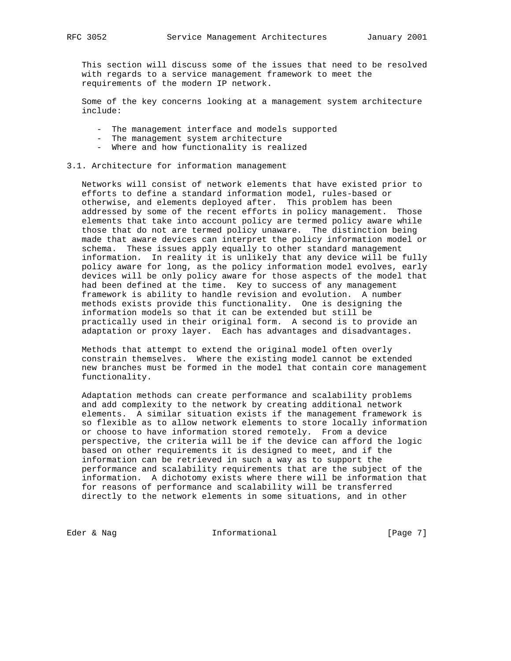This section will discuss some of the issues that need to be resolved with regards to a service management framework to meet the requirements of the modern IP network.

 Some of the key concerns looking at a management system architecture include:

- The management interface and models supported
- The management system architecture
- Where and how functionality is realized

#### 3.1. Architecture for information management

 Networks will consist of network elements that have existed prior to efforts to define a standard information model, rules-based or otherwise, and elements deployed after. This problem has been addressed by some of the recent efforts in policy management. Those elements that take into account policy are termed policy aware while those that do not are termed policy unaware. The distinction being made that aware devices can interpret the policy information model or schema. These issues apply equally to other standard management information. In reality it is unlikely that any device will be fully policy aware for long, as the policy information model evolves, early devices will be only policy aware for those aspects of the model that had been defined at the time. Key to success of any management framework is ability to handle revision and evolution. A number methods exists provide this functionality. One is designing the information models so that it can be extended but still be practically used in their original form. A second is to provide an adaptation or proxy layer. Each has advantages and disadvantages.

 Methods that attempt to extend the original model often overly constrain themselves. Where the existing model cannot be extended new branches must be formed in the model that contain core management functionality.

 Adaptation methods can create performance and scalability problems and add complexity to the network by creating additional network elements. A similar situation exists if the management framework is so flexible as to allow network elements to store locally information or choose to have information stored remotely. From a device perspective, the criteria will be if the device can afford the logic based on other requirements it is designed to meet, and if the information can be retrieved in such a way as to support the performance and scalability requirements that are the subject of the information. A dichotomy exists where there will be information that for reasons of performance and scalability will be transferred directly to the network elements in some situations, and in other

Eder & Nag 10 and Informational 100 and 100 and 100 and 100 and 100 and 100 and 100 and 100 and 100 and 100 and 100 and 100 and 100 and 100 and 100 and 100 and 100 and 100 and 100 and 100 and 100 and 100 and 100 and 100 an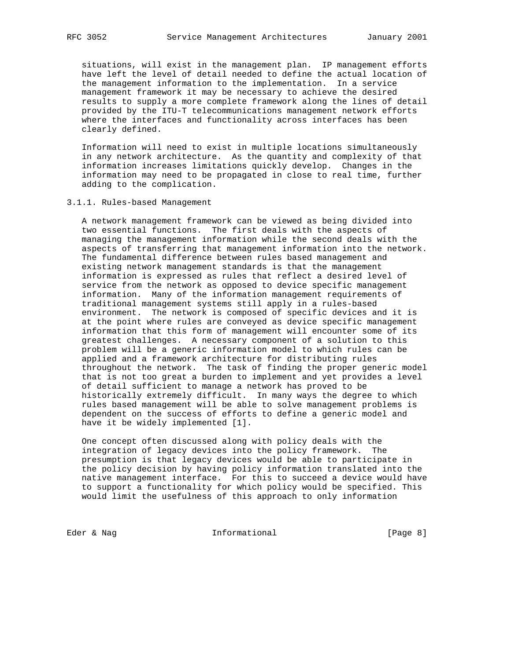situations, will exist in the management plan. IP management efforts have left the level of detail needed to define the actual location of the management information to the implementation. In a service management framework it may be necessary to achieve the desired results to supply a more complete framework along the lines of detail provided by the ITU-T telecommunications management network efforts where the interfaces and functionality across interfaces has been clearly defined.

 Information will need to exist in multiple locations simultaneously in any network architecture. As the quantity and complexity of that information increases limitations quickly develop. Changes in the information may need to be propagated in close to real time, further adding to the complication.

#### 3.1.1. Rules-based Management

 A network management framework can be viewed as being divided into two essential functions. The first deals with the aspects of managing the management information while the second deals with the aspects of transferring that management information into the network. The fundamental difference between rules based management and existing network management standards is that the management information is expressed as rules that reflect a desired level of service from the network as opposed to device specific management information. Many of the information management requirements of traditional management systems still apply in a rules-based environment. The network is composed of specific devices and it is at the point where rules are conveyed as device specific management information that this form of management will encounter some of its greatest challenges. A necessary component of a solution to this problem will be a generic information model to which rules can be applied and a framework architecture for distributing rules throughout the network. The task of finding the proper generic model that is not too great a burden to implement and yet provides a level of detail sufficient to manage a network has proved to be historically extremely difficult. In many ways the degree to which rules based management will be able to solve management problems is dependent on the success of efforts to define a generic model and have it be widely implemented [1].

 One concept often discussed along with policy deals with the integration of legacy devices into the policy framework. The presumption is that legacy devices would be able to participate in the policy decision by having policy information translated into the native management interface. For this to succeed a device would have to support a functionality for which policy would be specified. This would limit the usefulness of this approach to only information

Eder & Nag 10 Informational 100 [Page 8]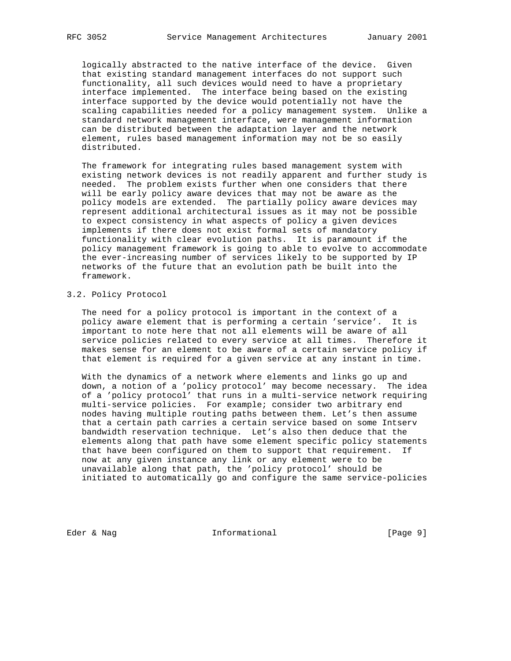logically abstracted to the native interface of the device. Given that existing standard management interfaces do not support such functionality, all such devices would need to have a proprietary interface implemented. The interface being based on the existing interface supported by the device would potentially not have the scaling capabilities needed for a policy management system. Unlike a standard network management interface, were management information can be distributed between the adaptation layer and the network element, rules based management information may not be so easily distributed.

 The framework for integrating rules based management system with existing network devices is not readily apparent and further study is needed. The problem exists further when one considers that there will be early policy aware devices that may not be aware as the policy models are extended. The partially policy aware devices may represent additional architectural issues as it may not be possible to expect consistency in what aspects of policy a given devices implements if there does not exist formal sets of mandatory functionality with clear evolution paths. It is paramount if the policy management framework is going to able to evolve to accommodate the ever-increasing number of services likely to be supported by IP networks of the future that an evolution path be built into the framework.

#### 3.2. Policy Protocol

 The need for a policy protocol is important in the context of a policy aware element that is performing a certain 'service'. It is important to note here that not all elements will be aware of all service policies related to every service at all times. Therefore it makes sense for an element to be aware of a certain service policy if that element is required for a given service at any instant in time.

 With the dynamics of a network where elements and links go up and down, a notion of a 'policy protocol' may become necessary. The idea of a 'policy protocol' that runs in a multi-service network requiring multi-service policies. For example; consider two arbitrary end nodes having multiple routing paths between them. Let's then assume that a certain path carries a certain service based on some Intserv bandwidth reservation technique. Let's also then deduce that the elements along that path have some element specific policy statements that have been configured on them to support that requirement. If now at any given instance any link or any element were to be unavailable along that path, the 'policy protocol' should be initiated to automatically go and configure the same service-policies

Eder & Nag 10 Informational 100 Eder & Nage 9]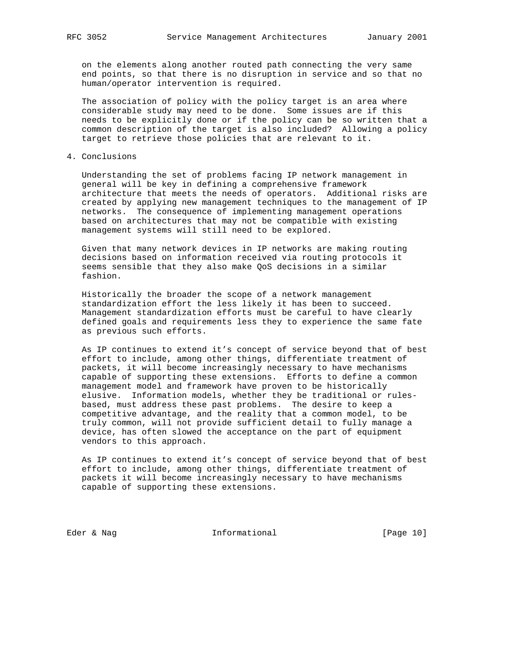on the elements along another routed path connecting the very same end points, so that there is no disruption in service and so that no human/operator intervention is required.

 The association of policy with the policy target is an area where considerable study may need to be done. Some issues are if this needs to be explicitly done or if the policy can be so written that a common description of the target is also included? Allowing a policy target to retrieve those policies that are relevant to it.

4. Conclusions

 Understanding the set of problems facing IP network management in general will be key in defining a comprehensive framework architecture that meets the needs of operators. Additional risks are created by applying new management techniques to the management of IP networks. The consequence of implementing management operations based on architectures that may not be compatible with existing management systems will still need to be explored.

 Given that many network devices in IP networks are making routing decisions based on information received via routing protocols it seems sensible that they also make QoS decisions in a similar fashion.

 Historically the broader the scope of a network management standardization effort the less likely it has been to succeed. Management standardization efforts must be careful to have clearly defined goals and requirements less they to experience the same fate as previous such efforts.

 As IP continues to extend it's concept of service beyond that of best effort to include, among other things, differentiate treatment of packets, it will become increasingly necessary to have mechanisms capable of supporting these extensions. Efforts to define a common management model and framework have proven to be historically elusive. Information models, whether they be traditional or rules based, must address these past problems. The desire to keep a competitive advantage, and the reality that a common model, to be truly common, will not provide sufficient detail to fully manage a device, has often slowed the acceptance on the part of equipment vendors to this approach.

 As IP continues to extend it's concept of service beyond that of best effort to include, among other things, differentiate treatment of packets it will become increasingly necessary to have mechanisms capable of supporting these extensions.

Eder & Nag 10]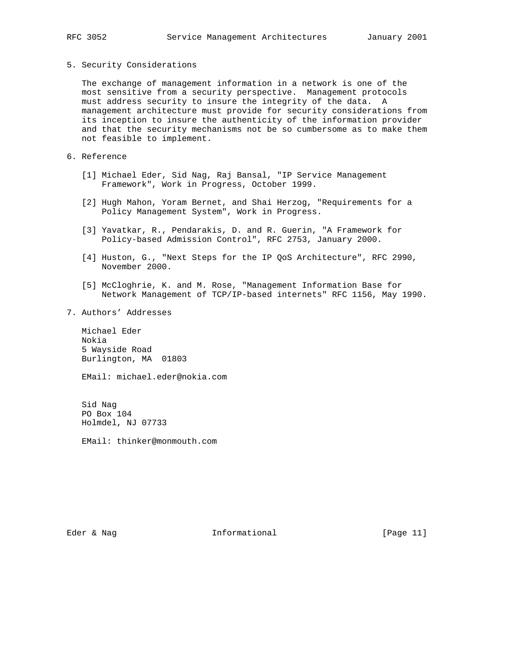#### 5. Security Considerations

 The exchange of management information in a network is one of the most sensitive from a security perspective. Management protocols must address security to insure the integrity of the data. A management architecture must provide for security considerations from its inception to insure the authenticity of the information provider and that the security mechanisms not be so cumbersome as to make them not feasible to implement.

6. Reference

- [1] Michael Eder, Sid Nag, Raj Bansal, "IP Service Management Framework", Work in Progress, October 1999.
- [2] Hugh Mahon, Yoram Bernet, and Shai Herzog, "Requirements for a Policy Management System", Work in Progress.
- [3] Yavatkar, R., Pendarakis, D. and R. Guerin, "A Framework for Policy-based Admission Control", RFC 2753, January 2000.
- [4] Huston, G., "Next Steps for the IP QoS Architecture", RFC 2990, November 2000.
- [5] McCloghrie, K. and M. Rose, "Management Information Base for Network Management of TCP/IP-based internets" RFC 1156, May 1990.
- 7. Authors' Addresses

 Michael Eder Nokia 5 Wayside Road Burlington, MA 01803

EMail: michael.eder@nokia.com

 Sid Nag PO Box 104 Holmdel, NJ 07733

EMail: thinker@monmouth.com

Eder & Nag  $I_n$  Informational [Page 11]